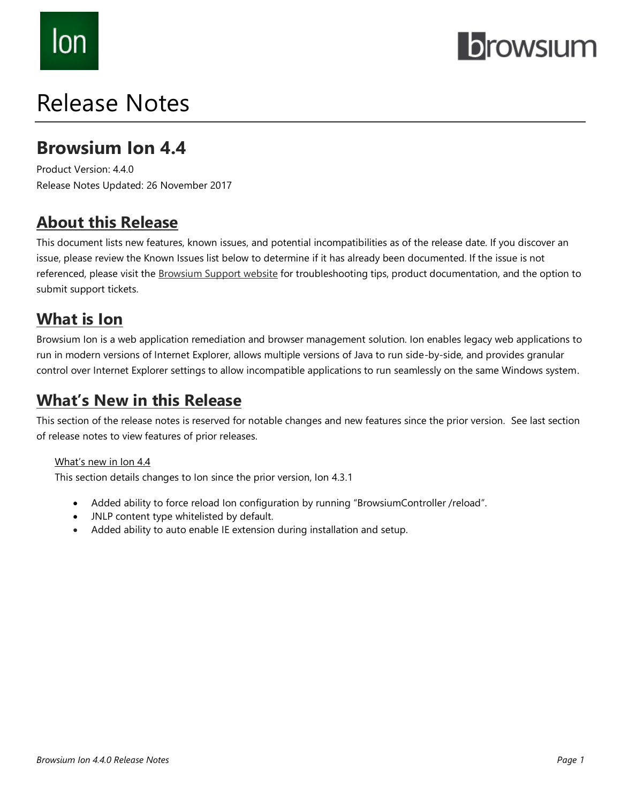# lon

## **browsium**

## Release Notes

## **Browsium Ion 4.4**

Product Version: 4.4.0 Release Notes Updated: 26 November 2017

## **About this Release**

This document lists new features, known issues, and potential incompatibilities as of the release date. If you discover an issue, please review the Known Issues list below to determine if it has already been documented. If the issue is not referenced, please visit the [Browsium Support](https://www.browsium.com/support/) website for troubleshooting tips, product documentation, and the option to submit support tickets.

## **What is Ion**

Browsium Ion is a web application remediation and browser management solution. Ion enables legacy web applications to run in modern versions of Internet Explorer, allows multiple versions of Java to run side-by-side, and provides granular control over Internet Explorer settings to allow incompatible applications to run seamlessly on the same Windows system.

## **What's New in this Release**

This section of the release notes is reserved for notable changes and new features since the prior version. See last section of release notes to view features of prior releases.

#### What's new in Ion 4.4

This section details changes to Ion since the prior version, Ion 4.3.1

- Added ability to force reload Ion configuration by running "BrowsiumController /reload".
- JNLP content type whitelisted by default.
- Added ability to auto enable IE extension during installation and setup.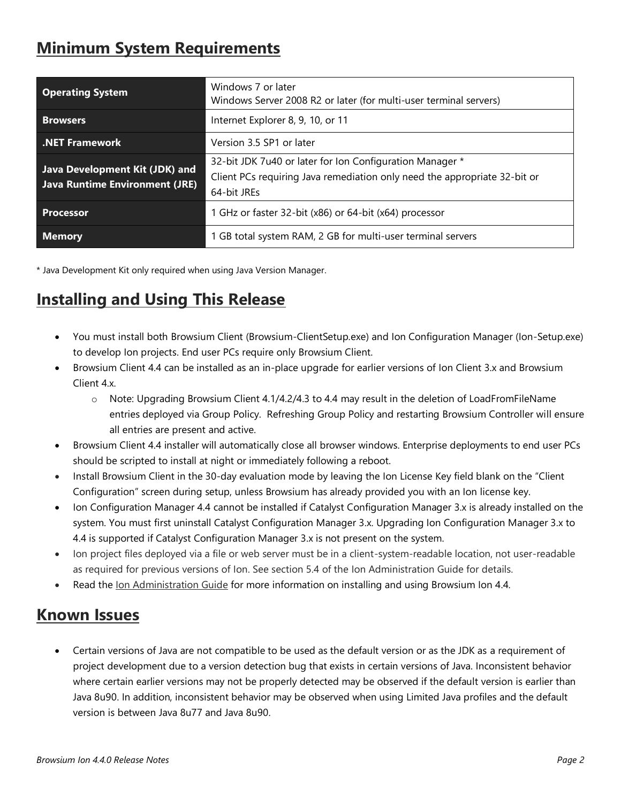## **Minimum System Requirements**

| <b>Operating System</b>                                                 | Windows 7 or later<br>Windows Server 2008 R2 or later (for multi-user terminal servers)                                                              |
|-------------------------------------------------------------------------|------------------------------------------------------------------------------------------------------------------------------------------------------|
| <b>Browsers</b>                                                         | Internet Explorer 8, 9, 10, or 11                                                                                                                    |
| <b>.NET Framework</b>                                                   | Version 3.5 SP1 or later                                                                                                                             |
| Java Development Kit (JDK) and<br><b>Java Runtime Environment (JRE)</b> | 32-bit JDK 7u40 or later for Ion Configuration Manager *<br>Client PCs requiring Java remediation only need the appropriate 32-bit or<br>64-bit JREs |
| <b>Processor</b>                                                        | 1 GHz or faster 32-bit (x86) or 64-bit (x64) processor                                                                                               |
| <b>Memory</b>                                                           | 1 GB total system RAM, 2 GB for multi-user terminal servers                                                                                          |

\* Java Development Kit only required when using Java Version Manager.

## **Installing and Using This Release**

- You must install both Browsium Client (Browsium-ClientSetup.exe) and Ion Configuration Manager (Ion-Setup.exe) to develop Ion projects. End user PCs require only Browsium Client.
- Browsium Client 4.4 can be installed as an in-place upgrade for earlier versions of Ion Client 3.x and Browsium  $Client 4x$ 
	- o Note: Upgrading Browsium Client 4.1/4.2/4.3 to 4.4 may result in the deletion of LoadFromFileName entries deployed via Group Policy. Refreshing Group Policy and restarting Browsium Controller will ensure all entries are present and active.
- Browsium Client 4.4 installer will automatically close all browser windows. Enterprise deployments to end user PCs should be scripted to install at night or immediately following a reboot.
- Install Browsium Client in the 30-day evaluation mode by leaving the Ion License Key field blank on the "Client Configuration" screen during setup, unless Browsium has already provided you with an Ion license key.
- Ion Configuration Manager 4.4 cannot be installed if Catalyst Configuration Manager 3.x is already installed on the system. You must first uninstall Catalyst Configuration Manager 3.x. Upgrading Ion Configuration Manager 3.x to 4.4 is supported if Catalyst Configuration Manager 3.x is not present on the system.
- Ion project files deployed via a file or web server must be in a client-system-readable location, not user-readable as required for previous versions of Ion. See section 5.4 of the Ion Administration Guide for details.
- Read the [Ion Administration Guide](http://docs.browsium.com/guide/?v=4.4.0&p=Ion) for more information on installing and using Browsium Ion 4.4.

### **Known Issues**

• Certain versions of Java are not compatible to be used as the default version or as the JDK as a requirement of project development due to a version detection bug that exists in certain versions of Java. Inconsistent behavior where certain earlier versions may not be properly detected may be observed if the default version is earlier than Java 8u90. In addition, inconsistent behavior may be observed when using Limited Java profiles and the default version is between Java 8u77 and Java 8u90.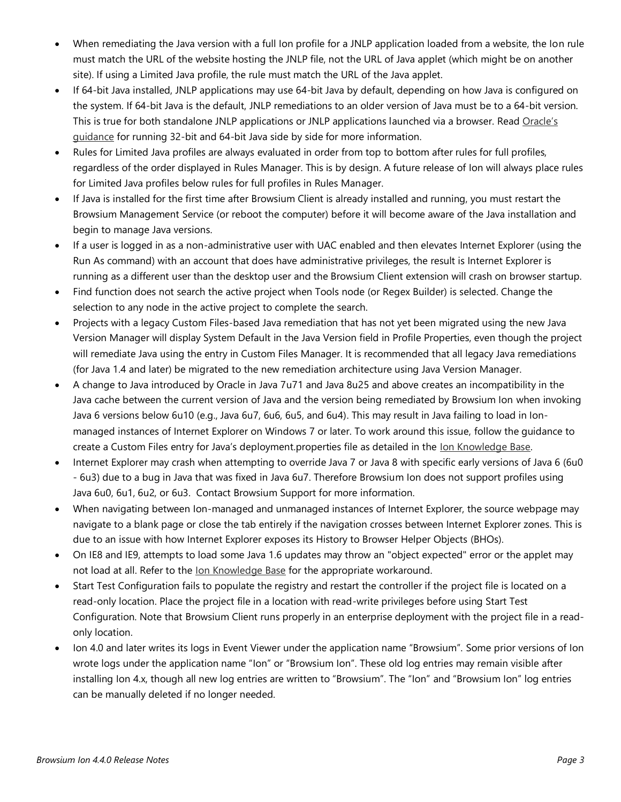- When remediating the Java version with a full Ion profile for a JNLP application loaded from a website, the Ion rule must match the URL of the website hosting the JNLP file, not the URL of Java applet (which might be on another site). If using a Limited Java profile, the rule must match the URL of the Java applet.
- If 64-bit Java installed, JNLP applications may use 64-bit Java by default, depending on how Java is configured on the system. If 64-bit Java is the default, JNLP remediations to an older version of Java must be to a 64-bit version. This is true for both standalone JNLP applications or JNLP applications launched via a browser. Read Oracle's [guidance](https://blogs.oracle.com/java-platform-group/entry/choosing_64_and_or_32) for running 32-bit and 64-bit Java side by side for more information.
- Rules for Limited Java profiles are always evaluated in order from top to bottom after rules for full profiles, regardless of the order displayed in Rules Manager. This is by design. A future release of Ion will always place rules for Limited Java profiles below rules for full profiles in Rules Manager.
- If Java is installed for the first time after Browsium Client is already installed and running, you must restart the Browsium Management Service (or reboot the computer) before it will become aware of the Java installation and begin to manage Java versions.
- If a user is logged in as a non-administrative user with UAC enabled and then elevates Internet Explorer (using the Run As command) with an account that does have administrative privileges, the result is Internet Explorer is running as a different user than the desktop user and the Browsium Client extension will crash on browser startup.
- Find function does not search the active project when Tools node (or Regex Builder) is selected. Change the selection to any node in the active project to complete the search.
- Projects with a legacy Custom Files-based Java remediation that has not yet been migrated using the new Java Version Manager will display System Default in the Java Version field in Profile Properties, even though the project will remediate Java using the entry in Custom Files Manager. It is recommended that all legacy Java remediations (for Java 1.4 and later) be migrated to the new remediation architecture using Java Version Manager.
- A change to Java introduced by Oracle in Java 7u71 and Java 8u25 and above creates an incompatibility in the Java cache between the current version of Java and the version being remediated by Browsium Ion when invoking Java 6 versions below 6u10 (e.g., Java 6u7, 6u6, 6u5, and 6u4). This may result in Java failing to load in Ionmanaged instances of Internet Explorer on Windows 7 or later. To work around this issue, follow the guidance to create a Custom Files entry for Java's deployment.properties file as detailed in the <u>Ion Knowledge Base</u>.
- Internet Explorer may crash when attempting to override Java 7 or Java 8 with specific early versions of Java 6 (6u0 - 6u3) due to a bug in Java that was fixed in Java 6u7. Therefore Browsium Ion does not support profiles using Java 6u0, 6u1, 6u2, or 6u3. Contact Browsium Support for more information.
- When navigating between Ion-managed and unmanaged instances of Internet Explorer, the source webpage may navigate to a blank page or close the tab entirely if the navigation crosses between Internet Explorer zones. This is due to an issue with how Internet Explorer exposes its History to Browser Helper Objects (BHOs).
- On IE8 and IE9, attempts to load some Java 1.6 updates may throw an "object expected" error or the applet may not load at all. Refer to the [Ion Knowledge Base](https://www.browsium.com/faqs/java-16-remediation-issues-workarounds/) for the appropriate workaround.
- Start Test Configuration fails to populate the registry and restart the controller if the project file is located on a read-only location. Place the project file in a location with read-write privileges before using Start Test Configuration. Note that Browsium Client runs properly in an enterprise deployment with the project file in a readonly location.
- Ion 4.0 and later writes its logs in Event Viewer under the application name "Browsium". Some prior versions of Ion wrote logs under the application name "Ion" or "Browsium Ion". These old log entries may remain visible after installing Ion 4.x, though all new log entries are written to "Browsium". The "Ion" and "Browsium Ion" log entries can be manually deleted if no longer needed.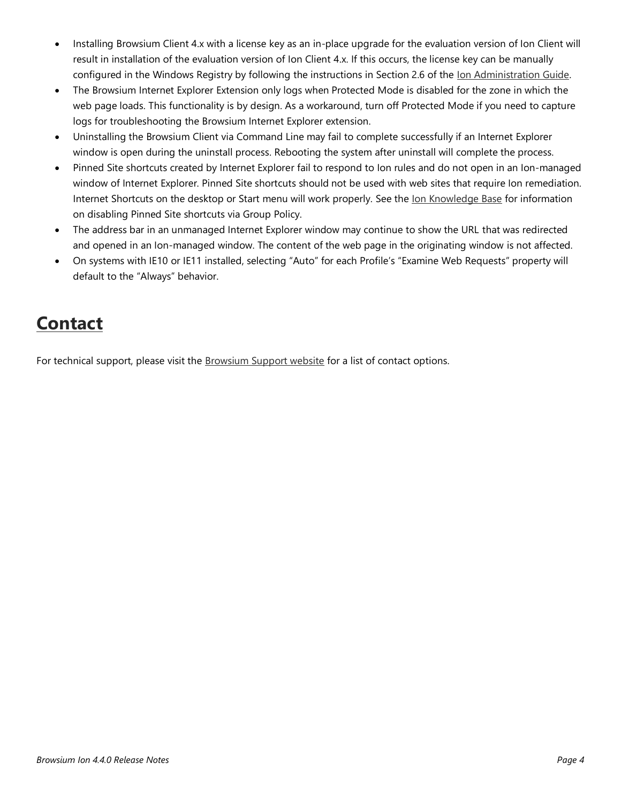- Installing Browsium Client 4.x with a license key as an in-place upgrade for the evaluation version of Ion Client will result in installation of the evaluation version of Ion Client 4.x. If this occurs, the license key can be manually configured in the Windows Registry by following the instructions in Section 2.6 of the [Ion Administration Guide.](http://docs.browsium.com/guide/?v=4.4.0&p=Ion)
- The Browsium Internet Explorer Extension only logs when Protected Mode is disabled for the zone in which the web page loads. This functionality is by design. As a workaround, turn off Protected Mode if you need to capture logs for troubleshooting the Browsium Internet Explorer extension.
- Uninstalling the Browsium Client via Command Line may fail to complete successfully if an Internet Explorer window is open during the uninstall process. Rebooting the system after uninstall will complete the process.
- Pinned Site shortcuts created by Internet Explorer fail to respond to Ion rules and do not open in an Ion-managed window of Internet Explorer. Pinned Site shortcuts should not be used with web sites that require Ion remediation. Internet Shortcuts on the desktop or Start menu will work properly. See th[e Ion Knowledge Base](https://www.browsium.com/faqs/ion-and-catalyst-do-not-work-with-ie-pinned-sites/) for information on disabling Pinned Site shortcuts via Group Policy.
- The address bar in an unmanaged Internet Explorer window may continue to show the URL that was redirected and opened in an Ion-managed window. The content of the web page in the originating window is not affected.
- On systems with IE10 or IE11 installed, selecting "Auto" for each Profile's "Examine Web Requests" property will default to the "Always" behavior.

## **Contact**

For technical support, please visit the [Browsium Support website](https://www.browsium.com/support/) for a list of contact options.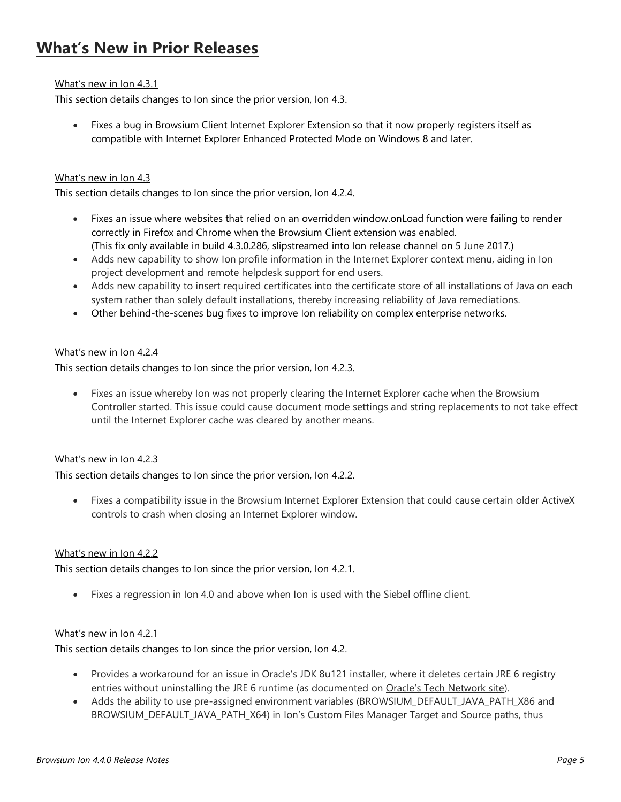## **What's New in Prior Releases**

#### What's new in Ion 4.3.1

This section details changes to Ion since the prior version, Ion 4.3.

• Fixes a bug in Browsium Client Internet Explorer Extension so that it now properly registers itself as compatible with Internet Explorer Enhanced Protected Mode on Windows 8 and later.

#### What's new in Ion 4.3

This section details changes to Ion since the prior version, Ion 4.2.4.

- Fixes an issue where websites that relied on an overridden window.onLoad function were failing to render correctly in Firefox and Chrome when the Browsium Client extension was enabled. (This fix only available in build 4.3.0.286, slipstreamed into Ion release channel on 5 June 2017.)
- Adds new capability to show Ion profile information in the Internet Explorer context menu, aiding in Ion project development and remote helpdesk support for end users.
- Adds new capability to insert required certificates into the certificate store of all installations of Java on each system rather than solely default installations, thereby increasing reliability of Java remediations.
- Other behind-the-scenes bug fixes to improve Ion reliability on complex enterprise networks.

#### What's new in Ion 4.2.4

This section details changes to Ion since the prior version, Ion 4.2.3.

Fixes an issue whereby Ion was not properly clearing the Internet Explorer cache when the Browsium Controller started. This issue could cause document mode settings and string replacements to not take effect until the Internet Explorer cache was cleared by another means.

#### What's new in Ion 4.2.3

This section details changes to Ion since the prior version, Ion 4.2.2.

• Fixes a compatibility issue in the Browsium Internet Explorer Extension that could cause certain older ActiveX controls to crash when closing an Internet Explorer window.

#### What's new in Ion 4.2.2

This section details changes to Ion since the prior version, Ion 4.2.1.

• Fixes a regression in Ion 4.0 and above when Ion is used with the Siebel offline client.

#### What's new in Ion 4.2.1

This section details changes to Ion since the prior version, Ion 4.2.

- Provides a workaround for an issue in Oracle's JDK 8u121 installer, where it deletes certain JRE 6 registry entries without uninstalling the JRE 6 runtime (as documented on [Oracle's Tech Network site](http://www.oracle.com/technetwork/java/javase/runtime-windows-137915.html)).
- Adds the ability to use pre-assigned environment variables (BROWSIUM\_DEFAULT\_JAVA\_PATH\_X86 and BROWSIUM\_DEFAULT\_JAVA\_PATH\_X64) in Ion's Custom Files Manager Target and Source paths, thus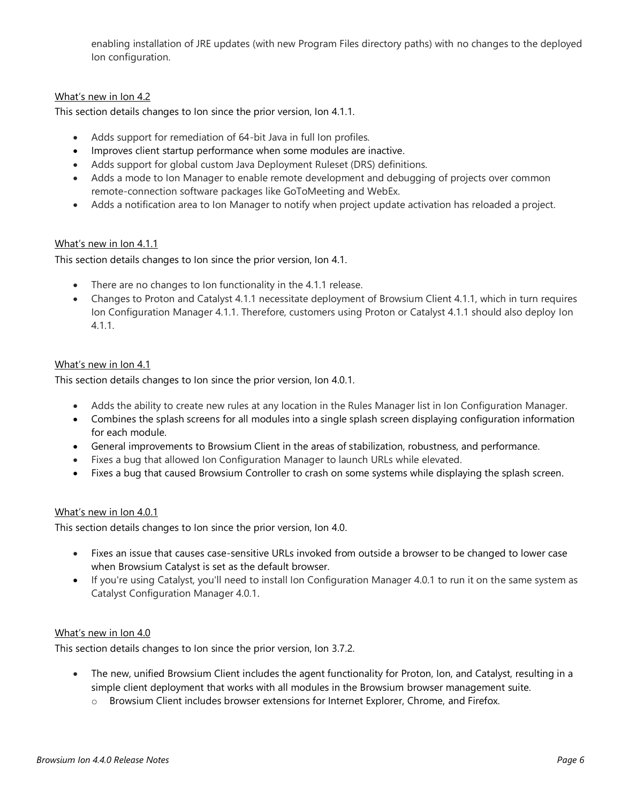enabling installation of JRE updates (with new Program Files directory paths) with no changes to the deployed Ion configuration.

#### What's new in Ion 4.2

This section details changes to Ion since the prior version, Ion 4.1.1.

- Adds support for remediation of 64-bit Java in full Ion profiles.
- Improves client startup performance when some modules are inactive.
- Adds support for global custom Java Deployment Ruleset (DRS) definitions.
- Adds a mode to Ion Manager to enable remote development and debugging of projects over common remote-connection software packages like GoToMeeting and WebEx.
- Adds a notification area to Ion Manager to notify when project update activation has reloaded a project.

#### What's new in Ion 4.1.1

This section details changes to Ion since the prior version, Ion 4.1.

- There are no changes to Ion functionality in the 4.1.1 release.
- Changes to Proton and Catalyst 4.1.1 necessitate deployment of Browsium Client 4.1.1, which in turn requires Ion Configuration Manager 4.1.1. Therefore, customers using Proton or Catalyst 4.1.1 should also deploy Ion 4.1.1.

#### What's new in Ion 4.1

This section details changes to Ion since the prior version, Ion 4.0.1.

- Adds the ability to create new rules at any location in the Rules Manager list in Ion Configuration Manager.
- Combines the splash screens for all modules into a single splash screen displaying configuration information for each module.
- General improvements to Browsium Client in the areas of stabilization, robustness, and performance.
- Fixes a bug that allowed Ion Configuration Manager to launch URLs while elevated.
- Fixes a bug that caused Browsium Controller to crash on some systems while displaying the splash screen.

#### What's new in Ion 4.0.1

This section details changes to Ion since the prior version, Ion 4.0.

- Fixes an issue that causes case-sensitive URLs invoked from outside a browser to be changed to lower case when Browsium Catalyst is set as the default browser.
- If you're using Catalyst, you'll need to install Ion Configuration Manager 4.0.1 to run it on the same system as Catalyst Configuration Manager 4.0.1.

#### What's new in Ion 4.0

This section details changes to Ion since the prior version, Ion 3.7.2.

- The new, unified Browsium Client includes the agent functionality for Proton, Ion, and Catalyst, resulting in a simple client deployment that works with all modules in the Browsium browser management suite.
	- o Browsium Client includes browser extensions for Internet Explorer, Chrome, and Firefox.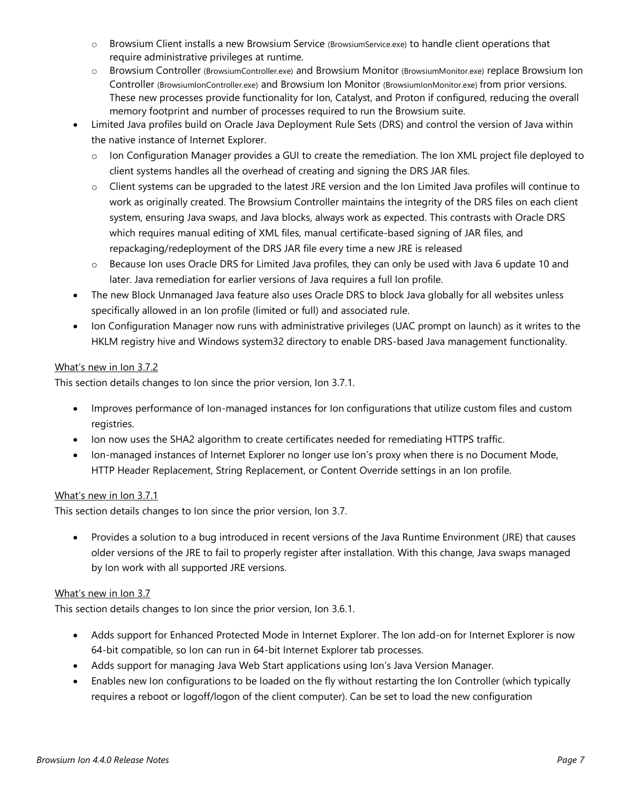- o Browsium Client installs a new Browsium Service (BrowsiumService.exe) to handle client operations that require administrative privileges at runtime.
- o Browsium Controller (BrowsiumController.exe) and Browsium Monitor (BrowsiumMonitor.exe) replace Browsium Ion Controller (BrowsiumIonController.exe) and Browsium Ion Monitor (BrowsiumIonMonitor.exe) from prior versions. These new processes provide functionality for Ion, Catalyst, and Proton if configured, reducing the overall memory footprint and number of processes required to run the Browsium suite.
- Limited Java profiles build on Oracle Java Deployment Rule Sets (DRS) and control the version of Java within the native instance of Internet Explorer.
	- o Ion Configuration Manager provides a GUI to create the remediation. The Ion XML project file deployed to client systems handles all the overhead of creating and signing the DRS JAR files.
	- o Client systems can be upgraded to the latest JRE version and the Ion Limited Java profiles will continue to work as originally created. The Browsium Controller maintains the integrity of the DRS files on each client system, ensuring Java swaps, and Java blocks, always work as expected. This contrasts with Oracle DRS which requires manual editing of XML files, manual certificate-based signing of JAR files, and repackaging/redeployment of the DRS JAR file every time a new JRE is released
	- o Because Ion uses Oracle DRS for Limited Java profiles, they can only be used with Java 6 update 10 and later. Java remediation for earlier versions of Java requires a full Ion profile.
- The new Block Unmanaged Java feature also uses Oracle DRS to block Java globally for all websites unless specifically allowed in an Ion profile (limited or full) and associated rule.
- Ion Configuration Manager now runs with administrative privileges (UAC prompt on launch) as it writes to the HKLM registry hive and Windows system32 directory to enable DRS-based Java management functionality.

#### What's new in Ion 3.7.2

This section details changes to Ion since the prior version, Ion 3.7.1.

- Improves performance of Ion-managed instances for Ion configurations that utilize custom files and custom registries.
- Ion now uses the SHA2 algorithm to create certificates needed for remediating HTTPS traffic.
- Ion-managed instances of Internet Explorer no longer use Ion's proxy when there is no Document Mode, HTTP Header Replacement, String Replacement, or Content Override settings in an Ion profile.

#### What's new in Ion 3.7.1

This section details changes to Ion since the prior version, Ion 3.7.

• Provides a solution to a bug introduced in recent versions of the Java Runtime Environment (JRE) that causes older versions of the JRE to fail to properly register after installation. With this change, Java swaps managed by Ion work with all supported JRE versions.

#### What's new in Ion 3.7

This section details changes to Ion since the prior version, Ion 3.6.1.

- Adds support for Enhanced Protected Mode in Internet Explorer. The Ion add-on for Internet Explorer is now 64-bit compatible, so Ion can run in 64-bit Internet Explorer tab processes.
- Adds support for managing Java Web Start applications using Ion's Java Version Manager.
- Enables new Ion configurations to be loaded on the fly without restarting the Ion Controller (which typically requires a reboot or logoff/logon of the client computer). Can be set to load the new configuration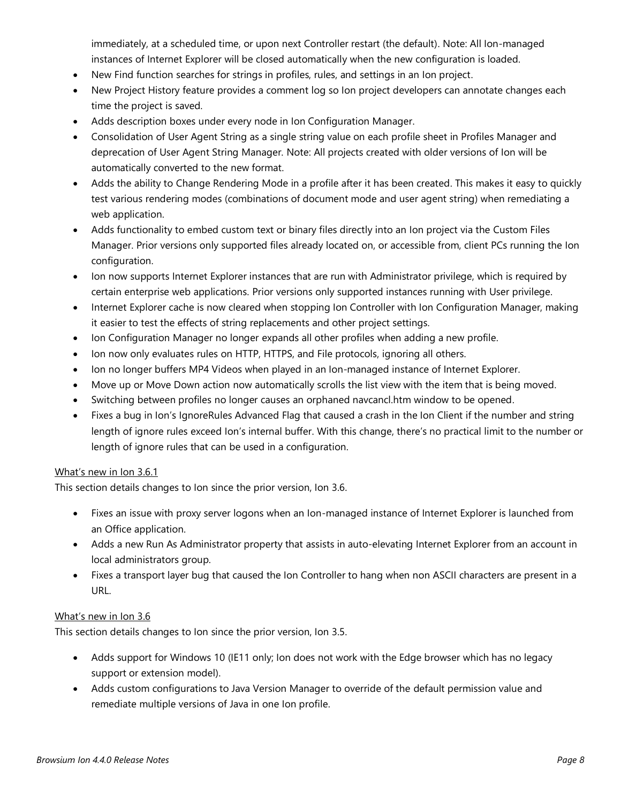immediately, at a scheduled time, or upon next Controller restart (the default). Note: All Ion-managed instances of Internet Explorer will be closed automatically when the new configuration is loaded.

- New Find function searches for strings in profiles, rules, and settings in an Ion project.
- New Project History feature provides a comment log so Ion project developers can annotate changes each time the project is saved.
- Adds description boxes under every node in Ion Configuration Manager.
- Consolidation of User Agent String as a single string value on each profile sheet in Profiles Manager and deprecation of User Agent String Manager. Note: All projects created with older versions of Ion will be automatically converted to the new format.
- Adds the ability to Change Rendering Mode in a profile after it has been created. This makes it easy to quickly test various rendering modes (combinations of document mode and user agent string) when remediating a web application.
- Adds functionality to embed custom text or binary files directly into an Ion project via the Custom Files Manager. Prior versions only supported files already located on, or accessible from, client PCs running the Ion configuration.
- Ion now supports Internet Explorer instances that are run with Administrator privilege, which is required by certain enterprise web applications. Prior versions only supported instances running with User privilege.
- Internet Explorer cache is now cleared when stopping Ion Controller with Ion Configuration Manager, making it easier to test the effects of string replacements and other project settings.
- Ion Configuration Manager no longer expands all other profiles when adding a new profile.
- Ion now only evaluates rules on HTTP, HTTPS, and File protocols, ignoring all others.
- Ion no longer buffers MP4 Videos when played in an Ion-managed instance of Internet Explorer.
- Move up or Move Down action now automatically scrolls the list view with the item that is being moved.
- Switching between profiles no longer causes an orphaned navcancl.htm window to be opened.
- Fixes a bug in Ion's IgnoreRules Advanced Flag that caused a crash in the Ion Client if the number and string length of ignore rules exceed Ion's internal buffer. With this change, there's no practical limit to the number or length of ignore rules that can be used in a configuration.

#### What's new in Ion 3.6.1

This section details changes to Ion since the prior version, Ion 3.6.

- Fixes an issue with proxy server logons when an Ion-managed instance of Internet Explorer is launched from an Office application.
- Adds a new Run As Administrator property that assists in auto-elevating Internet Explorer from an account in local administrators group.
- Fixes a transport layer bug that caused the Ion Controller to hang when non ASCII characters are present in a URL.

#### What's new in Ion 3.6

This section details changes to Ion since the prior version, Ion 3.5.

- Adds support for Windows 10 (IE11 only; Ion does not work with the Edge browser which has no legacy support or extension model).
- Adds custom configurations to Java Version Manager to override of the default permission value and remediate multiple versions of Java in one Ion profile.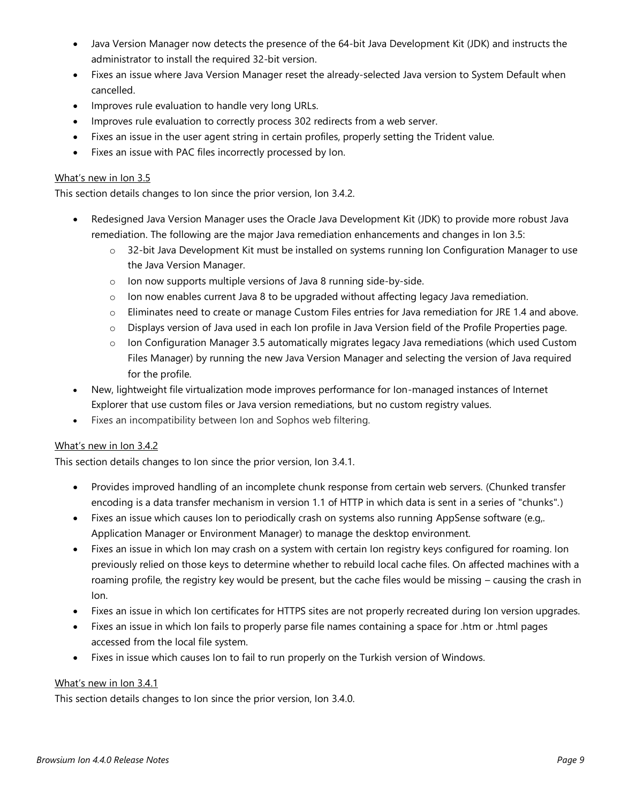- Java Version Manager now detects the presence of the 64-bit Java Development Kit (JDK) and instructs the administrator to install the required 32-bit version.
- Fixes an issue where Java Version Manager reset the already-selected Java version to System Default when cancelled.
- Improves rule evaluation to handle very long URLs.
- Improves rule evaluation to correctly process 302 redirects from a web server.
- Fixes an issue in the user agent string in certain profiles, properly setting the Trident value.
- Fixes an issue with PAC files incorrectly processed by Ion.

#### What's new in Ion 3.5

This section details changes to Ion since the prior version, Ion 3.4.2.

- Redesigned Java Version Manager uses the Oracle Java Development Kit (JDK) to provide more robust Java remediation. The following are the major Java remediation enhancements and changes in Ion 3.5:
	- o 32-bit Java Development Kit must be installed on systems running Ion Configuration Manager to use the Java Version Manager.
	- o Ion now supports multiple versions of Java 8 running side-by-side.
	- $\circ$  Ion now enables current Java 8 to be upgraded without affecting legacy Java remediation.
	- o Eliminates need to create or manage Custom Files entries for Java remediation for JRE 1.4 and above.
	- $\circ$  Displays version of Java used in each Ion profile in Java Version field of the Profile Properties page.
	- $\circ$  Ion Configuration Manager 3.5 automatically migrates legacy Java remediations (which used Custom Files Manager) by running the new Java Version Manager and selecting the version of Java required for the profile.
- New, lightweight file virtualization mode improves performance for Ion-managed instances of Internet Explorer that use custom files or Java version remediations, but no custom registry values.
- Fixes an incompatibility between Ion and Sophos web filtering.

#### What's new in Ion 3.4.2

This section details changes to Ion since the prior version, Ion 3.4.1.

- Provides improved handling of an incomplete chunk response from certain web servers. (Chunked transfer encoding is a data transfer mechanism in version 1.1 of HTTP in which data is sent in a series of "chunks".)
- Fixes an issue which causes Ion to periodically crash on systems also running AppSense software (e.g,. Application Manager or Environment Manager) to manage the desktop environment.
- Fixes an issue in which Ion may crash on a system with certain Ion registry keys configured for roaming. Ion previously relied on those keys to determine whether to rebuild local cache files. On affected machines with a roaming profile, the registry key would be present, but the cache files would be missing – causing the crash in Ion.
- Fixes an issue in which Ion certificates for HTTPS sites are not properly recreated during Ion version upgrades.
- Fixes an issue in which Ion fails to properly parse file names containing a space for .htm or .html pages accessed from the local file system.
- Fixes in issue which causes Ion to fail to run properly on the Turkish version of Windows.

#### What's new in Ion 3.4.1

This section details changes to Ion since the prior version, Ion 3.4.0.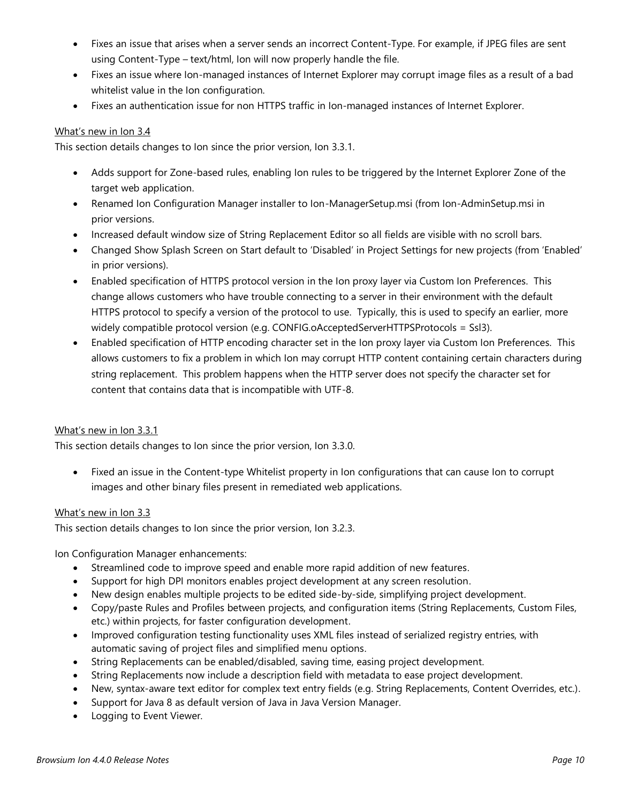- Fixes an issue that arises when a server sends an incorrect Content-Type. For example, if JPEG files are sent using Content-Type – text/html, Ion will now properly handle the file.
- Fixes an issue where Ion-managed instances of Internet Explorer may corrupt image files as a result of a bad whitelist value in the Ion configuration.
- Fixes an authentication issue for non HTTPS traffic in Ion-managed instances of Internet Explorer.

#### What's new in Ion 3.4

This section details changes to Ion since the prior version, Ion 3.3.1.

- Adds support for Zone-based rules, enabling Ion rules to be triggered by the Internet Explorer Zone of the target web application.
- Renamed Ion Configuration Manager installer to Ion-ManagerSetup.msi (from Ion-AdminSetup.msi in prior versions.
- Increased default window size of String Replacement Editor so all fields are visible with no scroll bars.
- Changed Show Splash Screen on Start default to 'Disabled' in Project Settings for new projects (from 'Enabled' in prior versions).
- Enabled specification of HTTPS protocol version in the Ion proxy layer via Custom Ion Preferences. This change allows customers who have trouble connecting to a server in their environment with the default HTTPS protocol to specify a version of the protocol to use. Typically, this is used to specify an earlier, more widely compatible protocol version (e.g. CONFIG.oAcceptedServerHTTPSProtocols = Ssl3).
- Enabled specification of HTTP encoding character set in the Ion proxy layer via Custom Ion Preferences. This allows customers to fix a problem in which Ion may corrupt HTTP content containing certain characters during string replacement. This problem happens when the HTTP server does not specify the character set for content that contains data that is incompatible with UTF-8.

#### What's new in Ion 3.3.1

This section details changes to Ion since the prior version, Ion 3.3.0.

• Fixed an issue in the Content-type Whitelist property in Ion configurations that can cause Ion to corrupt images and other binary files present in remediated web applications.

#### What's new in Ion 3.3

This section details changes to Ion since the prior version, Ion 3.2.3.

Ion Configuration Manager enhancements:

- Streamlined code to improve speed and enable more rapid addition of new features.
- Support for high DPI monitors enables project development at any screen resolution.
- New design enables multiple projects to be edited side-by-side, simplifying project development.
- Copy/paste Rules and Profiles between projects, and configuration items (String Replacements, Custom Files, etc.) within projects, for faster configuration development.
- Improved configuration testing functionality uses XML files instead of serialized registry entries, with automatic saving of project files and simplified menu options.
- String Replacements can be enabled/disabled, saving time, easing project development.
- String Replacements now include a description field with metadata to ease project development.
- New, syntax-aware text editor for complex text entry fields (e.g. String Replacements, Content Overrides, etc.).
- Support for Java 8 as default version of Java in Java Version Manager.
- Logging to Event Viewer.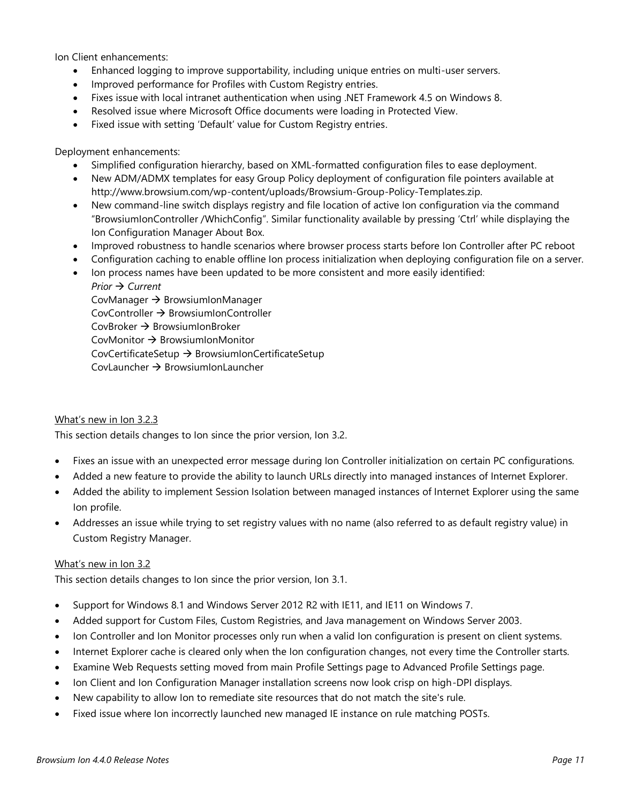Ion Client enhancements:

- Enhanced logging to improve supportability, including unique entries on multi-user servers.
- Improved performance for Profiles with Custom Registry entries.
- Fixes issue with local intranet authentication when using .NET Framework 4.5 on Windows 8.
- Resolved issue where Microsoft Office documents were loading in Protected View.
- Fixed issue with setting 'Default' value for Custom Registry entries.

Deployment enhancements:

- Simplified configuration hierarchy, based on XML-formatted configuration files to ease deployment.
- New ADM/ADMX templates for easy Group Policy deployment of configuration file pointers available at http://www.browsium.com/wp-content/uploads/Browsium-Group-Policy-Templates.zip.
- New command-line switch displays registry and file location of active Ion configuration via the command "BrowsiumIonController /WhichConfig". Similar functionality available by pressing 'Ctrl' while displaying the Ion Configuration Manager About Box.
- Improved robustness to handle scenarios where browser process starts before Ion Controller after PC reboot
- Configuration caching to enable offline Ion process initialization when deploying configuration file on a server.
- Ion process names have been updated to be more consistent and more easily identified: *Prior → Current*

CovManager  $\rightarrow$  BrowsiumIonManager  $CovController \rightarrow BrownI$  $CovBroker \rightarrow BrownismInBroker$ CovMonitor  $\rightarrow$  BrowsiumIonMonitor  $CovCertificateSetup \rightarrow BrownIonCertificateSetup$ CovLauncher  $\rightarrow$  BrowsiumIonLauncher

#### What's new in Ion 3.2.3

This section details changes to Ion since the prior version, Ion 3.2.

- Fixes an issue with an unexpected error message during Ion Controller initialization on certain PC configurations.
- Added a new feature to provide the ability to launch URLs directly into managed instances of Internet Explorer.
- Added the ability to implement Session Isolation between managed instances of Internet Explorer using the same Ion profile.
- Addresses an issue while trying to set registry values with no name (also referred to as default registry value) in Custom Registry Manager.

#### What's new in Ion 3.2

This section details changes to Ion since the prior version, Ion 3.1.

- Support for Windows 8.1 and Windows Server 2012 R2 with IE11, and IE11 on Windows 7.
- Added support for Custom Files, Custom Registries, and Java management on Windows Server 2003.
- Ion Controller and Ion Monitor processes only run when a valid Ion configuration is present on client systems.
- Internet Explorer cache is cleared only when the Ion configuration changes, not every time the Controller starts.
- Examine Web Requests setting moved from main Profile Settings page to Advanced Profile Settings page.
- Ion Client and Ion Configuration Manager installation screens now look crisp on high-DPI displays.
- New capability to allow Ion to remediate site resources that do not match the site's rule.
- Fixed issue where Ion incorrectly launched new managed IE instance on rule matching POSTs.